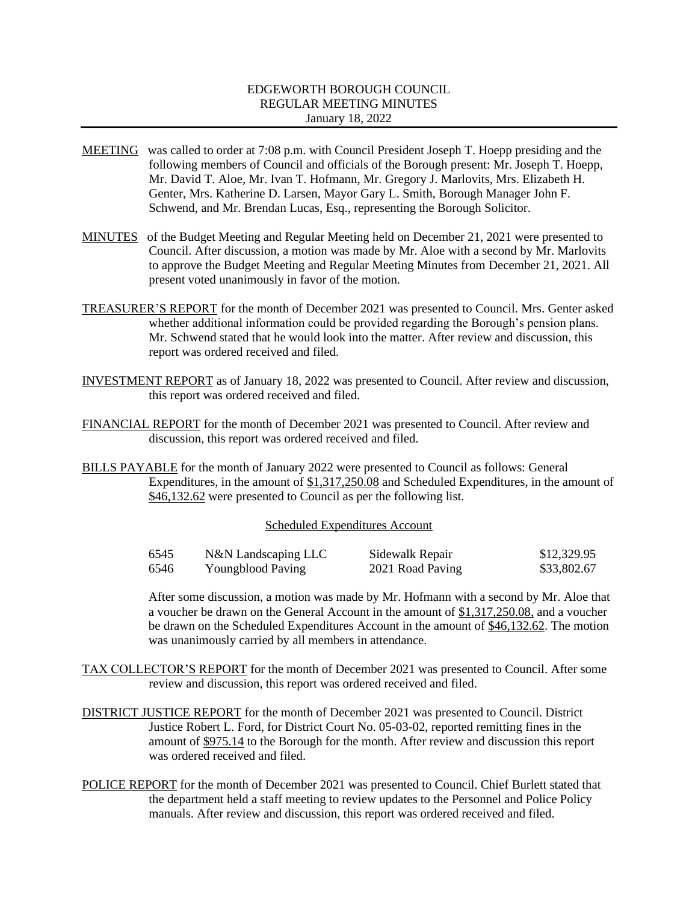# EDGEWORTH BOROUGH COUNCIL REGULAR MEETING MINUTES January 18, 2022

- MEETING was called to order at 7:08 p.m. with Council President Joseph T. Hoepp presiding and the following members of Council and officials of the Borough present: Mr. Joseph T. Hoepp, Mr. David T. Aloe, Mr. Ivan T. Hofmann, Mr. Gregory J. Marlovits, Mrs. Elizabeth H. Genter, Mrs. Katherine D. Larsen, Mayor Gary L. Smith, Borough Manager John F. Schwend, and Mr. Brendan Lucas, Esq., representing the Borough Solicitor.
- MINUTES of the Budget Meeting and Regular Meeting held on December 21, 2021 were presented to Council. After discussion, a motion was made by Mr. Aloe with a second by Mr. Marlovits to approve the Budget Meeting and Regular Meeting Minutes from December 21, 2021. All present voted unanimously in favor of the motion.
- TREASURER'S REPORT for the month of December 2021 was presented to Council. Mrs. Genter asked whether additional information could be provided regarding the Borough's pension plans. Mr. Schwend stated that he would look into the matter. After review and discussion, this report was ordered received and filed.
- INVESTMENT REPORT as of January 18, 2022 was presented to Council. After review and discussion, this report was ordered received and filed.
- FINANCIAL REPORT for the month of December 2021 was presented to Council. After review and discussion, this report was ordered received and filed.
- BILLS PAYABLE for the month of January 2022 were presented to Council as follows: General Expenditures, in the amount of \$1,317,250.08 and Scheduled Expenditures, in the amount of \$46,132.62 were presented to Council as per the following list.

### Scheduled Expenditures Account

| 6545 | N&N Landscaping LLC | Sidewalk Repair  | \$12,329.95 |
|------|---------------------|------------------|-------------|
| 6546 | Youngblood Paving   | 2021 Road Paving | \$33,802.67 |

After some discussion, a motion was made by Mr. Hofmann with a second by Mr. Aloe that a voucher be drawn on the General Account in the amount of \$1,317,250.08, and a voucher be drawn on the Scheduled Expenditures Account in the amount of \$46,132.62. The motion was unanimously carried by all members in attendance.

- TAX COLLECTOR'S REPORT for the month of December 2021 was presented to Council. After some review and discussion, this report was ordered received and filed.
- DISTRICT JUSTICE REPORT for the month of December 2021 was presented to Council. District Justice Robert L. Ford, for District Court No. 05-03-02, reported remitting fines in the amount of \$975.14 to the Borough for the month. After review and discussion this report was ordered received and filed.
- POLICE REPORT for the month of December 2021 was presented to Council. Chief Burlett stated that the department held a staff meeting to review updates to the Personnel and Police Policy manuals. After review and discussion, this report was ordered received and filed.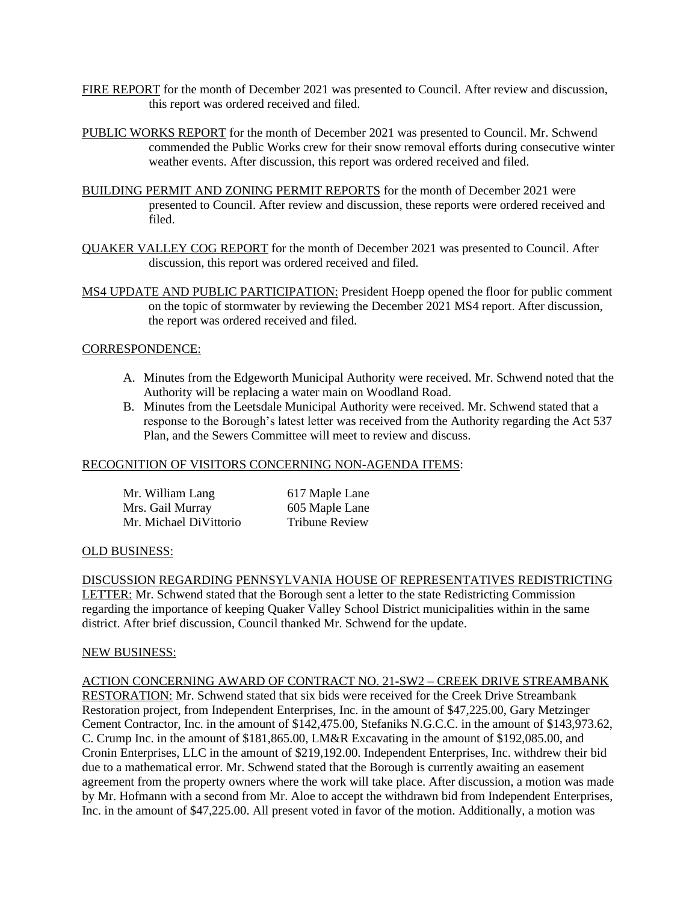- FIRE REPORT for the month of December 2021 was presented to Council. After review and discussion, this report was ordered received and filed.
- PUBLIC WORKS REPORT for the month of December 2021 was presented to Council. Mr. Schwend commended the Public Works crew for their snow removal efforts during consecutive winter weather events. After discussion, this report was ordered received and filed.
- BUILDING PERMIT AND ZONING PERMIT REPORTS for the month of December 2021 were presented to Council. After review and discussion, these reports were ordered received and filed.
- QUAKER VALLEY COG REPORT for the month of December 2021 was presented to Council. After discussion, this report was ordered received and filed.
- MS4 UPDATE AND PUBLIC PARTICIPATION: President Hoepp opened the floor for public comment on the topic of stormwater by reviewing the December 2021 MS4 report. After discussion, the report was ordered received and filed.

# CORRESPONDENCE:

- A. Minutes from the Edgeworth Municipal Authority were received. Mr. Schwend noted that the Authority will be replacing a water main on Woodland Road.
- B. Minutes from the Leetsdale Municipal Authority were received. Mr. Schwend stated that a response to the Borough's latest letter was received from the Authority regarding the Act 537 Plan, and the Sewers Committee will meet to review and discuss.

# RECOGNITION OF VISITORS CONCERNING NON-AGENDA ITEMS:

| Mr. William Lang       | 617 Maple Lane        |
|------------------------|-----------------------|
| Mrs. Gail Murray       | 605 Maple Lane        |
| Mr. Michael DiVittorio | <b>Tribune Review</b> |

### OLD BUSINESS:

DISCUSSION REGARDING PENNSYLVANIA HOUSE OF REPRESENTATIVES REDISTRICTING LETTER: Mr. Schwend stated that the Borough sent a letter to the state Redistricting Commission regarding the importance of keeping Quaker Valley School District municipalities within in the same district. After brief discussion, Council thanked Mr. Schwend for the update.

### NEW BUSINESS:

# ACTION CONCERNING AWARD OF CONTRACT NO. 21-SW2 – CREEK DRIVE STREAMBANK

RESTORATION: Mr. Schwend stated that six bids were received for the Creek Drive Streambank Restoration project, from Independent Enterprises, Inc. in the amount of \$47,225.00, Gary Metzinger Cement Contractor, Inc. in the amount of \$142,475.00, Stefaniks N.G.C.C. in the amount of \$143,973.62, C. Crump Inc. in the amount of \$181,865.00, LM&R Excavating in the amount of \$192,085.00, and Cronin Enterprises, LLC in the amount of \$219,192.00. Independent Enterprises, Inc. withdrew their bid due to a mathematical error. Mr. Schwend stated that the Borough is currently awaiting an easement agreement from the property owners where the work will take place. After discussion, a motion was made by Mr. Hofmann with a second from Mr. Aloe to accept the withdrawn bid from Independent Enterprises, Inc. in the amount of \$47,225.00. All present voted in favor of the motion. Additionally, a motion was